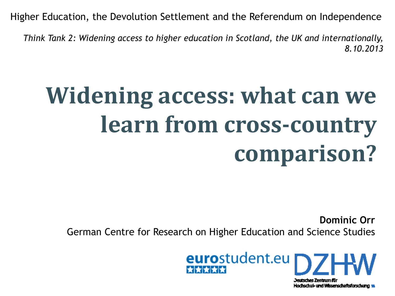Higher Education, the Devolution Settlement and the Referendum on Independence

*Think Tank 2: Widening access to higher education in Scotland, the UK and internationally, 8.10.2013*

# **Widening access: what can we learn from cross-country comparison?**

**Dominic Orr** German Centre for Research on Higher Education and Science Studies



Hochschul- und Wissenschaftsforschung wu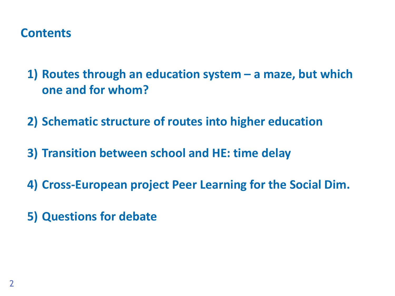#### **Contents**

**1) Routes through an education system – a maze, but which one and for whom?**

**2) Schematic structure of routes into higher education**

- **3) Transition between school and HE: time delay**
- **4) Cross-European project Peer Learning for the Social Dim.**
- **5) Questions for debate**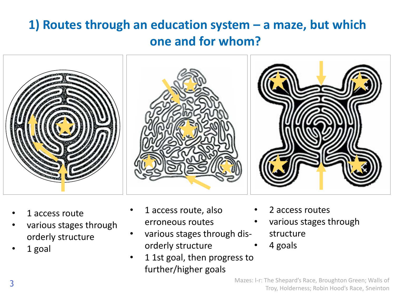## **1) Routes through an education system – a maze, but which one and for whom?**



- 1 access route
- various stages through orderly structure
- 1 goal
- 1 access route, also erroneous routes
- various stages through disorderly structure
- 1 1st goal, then progress to further/higher goals
- 2 access routes
- various stages through structure
- 4 goals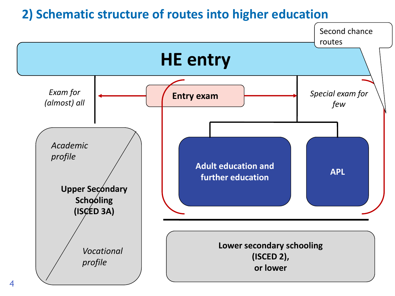#### **2) Schematic structure of routes into higher education**

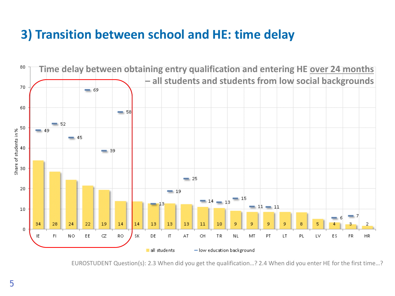## **3) Transition between school and HE: time delay**



EUROSTUDENT Question(s): 2.3 When did you get the qualification…? 2.4 When did you enter HE for the first time…?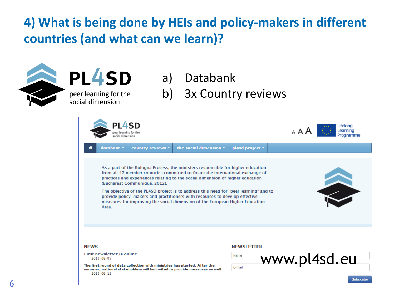## **4) What is being done by HEIs and policy-makers in different countries (and what can we learn)?**



PL4SD

peer learning for the social dimension